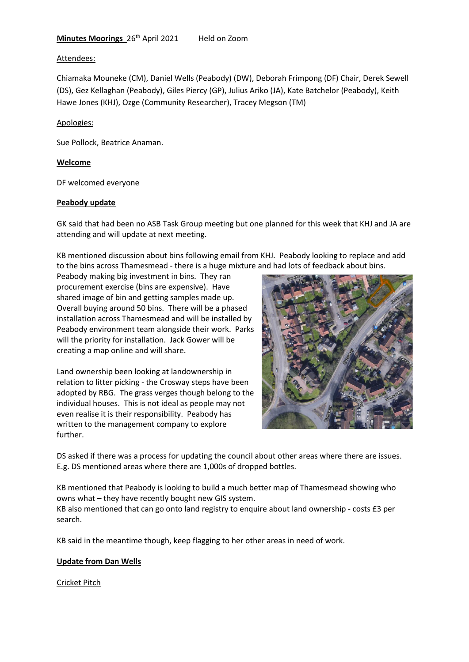### Attendees:

Chiamaka Mouneke (CM), Daniel Wells (Peabody) (DW), Deborah Frimpong (DF) Chair, Derek Sewell (DS), Gez Kellaghan (Peabody), Giles Piercy (GP), Julius Ariko (JA), Kate Batchelor (Peabody), Keith Hawe Jones (KHJ), Ozge (Community Researcher), Tracey Megson (TM)

### Apologies:

Sue Pollock, Beatrice Anaman.

### **Welcome**

DF welcomed everyone

### **Peabody update**

GK said that had been no ASB Task Group meeting but one planned for this week that KHJ and JA are attending and will update at next meeting.

KB mentioned discussion about bins following email from KHJ. Peabody looking to replace and add to the bins across Thamesmead - there is a huge mixture and had lots of feedback about bins.

Peabody making big investment in bins. They ran procurement exercise (bins are expensive). Have shared image of bin and getting samples made up. Overall buying around 50 bins. There will be a phased installation across Thamesmead and will be installed by Peabody environment team alongside their work. Parks will the priority for installation. Jack Gower will be creating a map online and will share.

Land ownership been looking at landownership in relation to litter picking - the Crosway steps have been adopted by RBG. The grass verges though belong to the individual houses. This is not ideal as people may not even realise it is their responsibility. Peabody has written to the management company to explore further.



DS asked if there was a process for updating the council about other areas where there are issues. E.g. DS mentioned areas where there are 1,000s of dropped bottles.

KB mentioned that Peabody is looking to build a much better map of Thamesmead showing who owns what – they have recently bought new GIS system.

KB also mentioned that can go onto land registry to enquire about land ownership - costs £3 per search.

KB said in the meantime though, keep flagging to her other areas in need of work.

# **Update from Dan Wells**

Cricket Pitch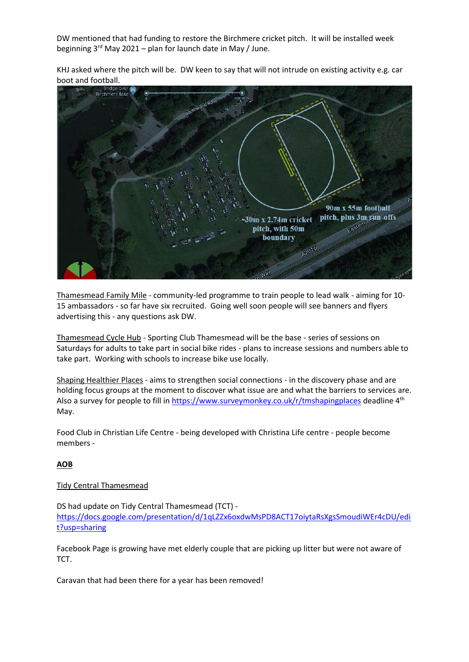DW mentioned that had funding to restore the Birchmere cricket pitch. It will be installed week beginning  $3^{rd}$  May 2021 – plan for launch date in May / June.

KHJ asked where the pitch will be. DW keen to say that will not intrude on existing activity e.g. car boot and football.



Thamesmead Family Mile - community-led programme to train people to lead walk - aiming for 10- 15 ambassadors - so far have six recruited. Going well soon people will see banners and flyers advertising this - any questions ask DW.

Thamesmead Cycle Hub - Sporting Club Thamesmead will be the base - series of sessions on Saturdays for adults to take part in social bike rides - plans to increase sessions and numbers able to take part. Working with schools to increase bike use locally.

Shaping Healthier Places - aims to strengthen social connections - in the discovery phase and are holding focus groups at the moment to discover what issue are and what the barriers to services are. Also a survey for people to fill in<https://www.surveymonkey.co.uk/r/tmshapingplaces> deadline 4<sup>th</sup> May.

Food Club in Christian Life Centre - being developed with Christina Life centre - people become members -

# **AOB**

# Tidy Central Thamesmead

DS had update on Tidy Central Thamesmead (TCT) [https://docs.google.com/presentation/d/1qLZZx6oxdwMsPD8ACT17oiytaRsXgsSmoudiWEr4cDU/edi](https://docs.google.com/presentation/d/1qLZZx6oxdwMsPD8ACT17oiytaRsXgsSmoudiWEr4cDU/edit?usp=sharing) [t?usp=sharing](https://docs.google.com/presentation/d/1qLZZx6oxdwMsPD8ACT17oiytaRsXgsSmoudiWEr4cDU/edit?usp=sharing)

Facebook Page is growing have met elderly couple that are picking up litter but were not aware of TCT.

Caravan that had been there for a year has been removed!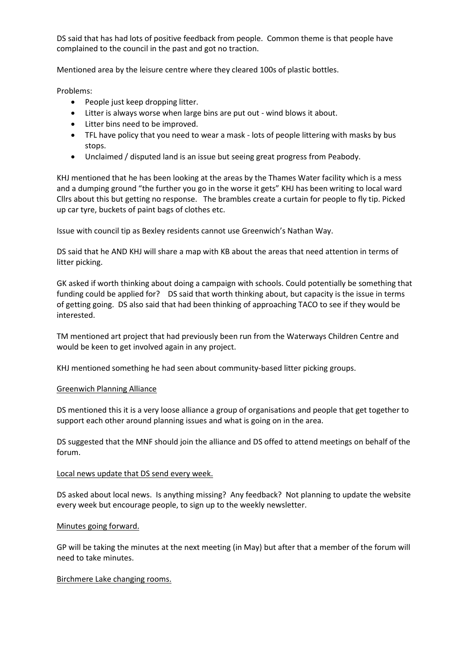DS said that has had lots of positive feedback from people. Common theme is that people have complained to the council in the past and got no traction.

Mentioned area by the leisure centre where they cleared 100s of plastic bottles.

Problems:

- People just keep dropping litter.
- Litter is always worse when large bins are put out wind blows it about.
- Litter bins need to be improved.
- TFL have policy that you need to wear a mask lots of people littering with masks by bus stops.
- Unclaimed / disputed land is an issue but seeing great progress from Peabody.

KHJ mentioned that he has been looking at the areas by the Thames Water facility which is a mess and a dumping ground "the further you go in the worse it gets" KHJ has been writing to local ward Cllrs about this but getting no response. The brambles create a curtain for people to fly tip. Picked up car tyre, buckets of paint bags of clothes etc.

Issue with council tip as Bexley residents cannot use Greenwich's Nathan Way.

DS said that he AND KHJ will share a map with KB about the areas that need attention in terms of litter picking.

GK asked if worth thinking about doing a campaign with schools. Could potentially be something that funding could be applied for? DS said that worth thinking about, but capacity is the issue in terms of getting going. DS also said that had been thinking of approaching TACO to see if they would be interested.

TM mentioned art project that had previously been run from the Waterways Children Centre and would be keen to get involved again in any project.

KHJ mentioned something he had seen about community-based litter picking groups.

# Greenwich Planning Alliance

DS mentioned this it is a very loose alliance a group of organisations and people that get together to support each other around planning issues and what is going on in the area.

DS suggested that the MNF should join the alliance and DS offed to attend meetings on behalf of the forum.

# Local news update that DS send every week.

DS asked about local news. Is anything missing? Any feedback? Not planning to update the website every week but encourage people, to sign up to the weekly newsletter.

# Minutes going forward.

GP will be taking the minutes at the next meeting (in May) but after that a member of the forum will need to take minutes.

# Birchmere Lake changing rooms.